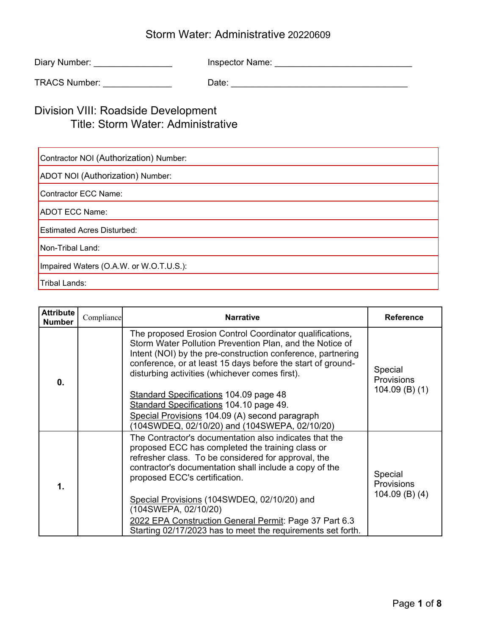| Diary Number: | Inspector Name: |
|---------------|-----------------|
|               |                 |

TRACS Number: \_\_\_\_\_\_\_\_\_\_\_\_\_\_ Date: \_\_\_\_\_\_\_\_\_\_\_\_\_\_\_\_\_\_\_\_\_\_\_\_\_\_\_\_\_\_\_\_\_\_\_\_

## Division VIII: Roadside Development Title: Storm Water: Administrative

| Contractor NOI (Authorization) Number:  |  |  |  |
|-----------------------------------------|--|--|--|
| ADOT NOI (Authorization) Number:        |  |  |  |
| Contractor ECC Name:                    |  |  |  |
| ADOT ECC Name:                          |  |  |  |
| <b>Estimated Acres Disturbed:</b>       |  |  |  |
| Non-Tribal Land:                        |  |  |  |
| Impaired Waters (O.A.W. or W.O.T.U.S.): |  |  |  |
| Tribal Lands:                           |  |  |  |

| <b>Attribute</b><br><b>Number</b> | Compliance | <b>Narrative</b>                                                                                                                                                                                                                                                                                     | <b>Reference</b>                                 |
|-----------------------------------|------------|------------------------------------------------------------------------------------------------------------------------------------------------------------------------------------------------------------------------------------------------------------------------------------------------------|--------------------------------------------------|
| 0.                                |            | The proposed Erosion Control Coordinator qualifications,<br>Storm Water Pollution Prevention Plan, and the Notice of<br>Intent (NOI) by the pre-construction conference, partnering<br>conference, or at least 15 days before the start of ground-<br>disturbing activities (whichever comes first). | Special<br><b>Provisions</b><br>$104.09$ (B) (1) |
|                                   |            | <b>Standard Specifications 104.09 page 48</b><br>Standard Specifications 104.10 page 49.<br>Special Provisions 104.09 (A) second paragraph<br>(104SWDEQ, 02/10/20) and (104SWEPA, 02/10/20)                                                                                                          |                                                  |
| 1.                                |            | The Contractor's documentation also indicates that the<br>proposed ECC has completed the training class or<br>refresher class. To be considered for approval, the<br>contractor's documentation shall include a copy of the<br>proposed ECC's certification.                                         | Special<br><b>Provisions</b>                     |
|                                   |            | Special Provisions (104SWDEQ, 02/10/20) and<br>(104SWEPA, 02/10/20)<br>2022 EPA Construction General Permit: Page 37 Part 6.3<br>Starting 02/17/2023 has to meet the requirements set forth.                                                                                                         | $104.09$ (B) (4)                                 |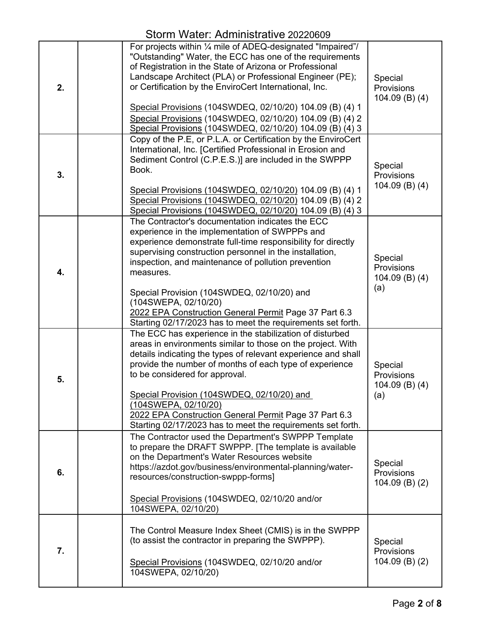| 2. | For projects within 1/4 mile of ADEQ-designated "Impaired"/<br>"Outstanding" Water, the ECC has one of the requirements<br>of Registration in the State of Arizona or Professional<br>Landscape Architect (PLA) or Professional Engineer (PE);<br>or Certification by the EnviroCert International, Inc.<br>Special Provisions (104SWDEQ, 02/10/20) 104.09 (B) (4) 1<br>Special Provisions (104SWDEQ, 02/10/20) 104.09 (B) (4) 2<br>Special Provisions (104SWDEQ, 02/10/20) 104.09 (B) (4) 3    | Special<br>Provisions<br>104.09 $(B)$ $(4)$               |
|----|-------------------------------------------------------------------------------------------------------------------------------------------------------------------------------------------------------------------------------------------------------------------------------------------------------------------------------------------------------------------------------------------------------------------------------------------------------------------------------------------------|-----------------------------------------------------------|
| 3. | Copy of the P.E, or P.L.A. or Certification by the EnviroCert<br>International, Inc. [Certified Professional in Erosion and<br>Sediment Control (C.P.E.S.)] are included in the SWPPP<br>Book.<br>Special Provisions (104SWDEQ, 02/10/20) 104.09 (B) (4) 1<br>Special Provisions (104SWDEQ, 02/10/20) 104.09 (B) (4) 2<br>Special Provisions (104SWDEQ, 02/10/20) 104.09 (B) (4) 3                                                                                                              | Special<br>Provisions<br>104.09 $(B)$ $(4)$               |
| 4. | The Contractor's documentation indicates the ECC<br>experience in the implementation of SWPPPs and<br>experience demonstrate full-time responsibility for directly<br>supervising construction personnel in the installation,<br>inspection, and maintenance of pollution prevention<br>measures.<br>Special Provision (104SWDEQ, 02/10/20) and<br>(104SWEPA, 02/10/20)<br>2022 EPA Construction General Permit Page 37 Part 6.3<br>Starting 02/17/2023 has to meet the requirements set forth. | Special<br>Provisions<br>104.09 $(B)$ $(4)$<br>(a)        |
| 5. | The ECC has experience in the stabilization of disturbed<br>areas in environments similar to those on the project. With<br>details indicating the types of relevant experience and shall<br>provide the number of months of each type of experience<br>to be considered for approval.<br>Special Provision (104SWDEQ, 02/10/20) and<br>(104SWEPA, 02/10/20)<br>2022 EPA Construction General Permit Page 37 Part 6.3<br>Starting 02/17/2023 has to meet the requirements set forth.             | Special<br><b>Provisions</b><br>104.09 $(B)$ $(4)$<br>(a) |
| 6. | The Contractor used the Department's SWPPP Template<br>to prepare the DRAFT SWPPP. [The template is available<br>on the Department's Water Resources website<br>https://azdot.gov/business/environmental-planning/water-<br>resources/construction-swppp-forms]<br>Special Provisions (104SWDEQ, 02/10/20 and/or<br>104SWEPA, 02/10/20)                                                                                                                                                         | Special<br>Provisions<br>$104.09$ (B) (2)                 |
| 7. | The Control Measure Index Sheet (CMIS) is in the SWPPP<br>(to assist the contractor in preparing the SWPPP).<br>Special Provisions (104SWDEQ, 02/10/20 and/or<br>104SWEPA, 02/10/20)                                                                                                                                                                                                                                                                                                            | Special<br>Provisions<br>104.09 $(B)$ $(2)$               |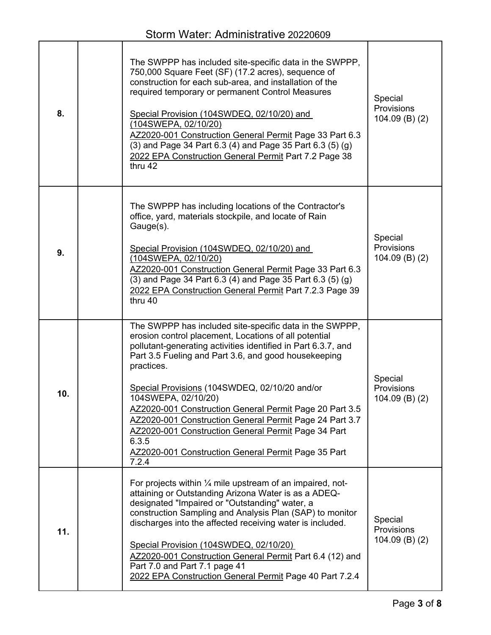| 8.  | The SWPPP has included site-specific data in the SWPPP,<br>750,000 Square Feet (SF) (17.2 acres), sequence of<br>construction for each sub-area, and installation of the<br>required temporary or permanent Control Measures<br>Special Provision (104SWDEQ, 02/10/20) and<br>(104SWEPA, 02/10/20)<br>AZ2020-001 Construction General Permit Page 33 Part 6.3<br>(3) and Page 34 Part 6.3 (4) and Page 35 Part 6.3 (5) (g)<br>2022 EPA Construction General Permit Part 7.2 Page 38<br>thru 42                                                                                        | Special<br>Provisions<br>$104.09$ (B) (2)   |
|-----|---------------------------------------------------------------------------------------------------------------------------------------------------------------------------------------------------------------------------------------------------------------------------------------------------------------------------------------------------------------------------------------------------------------------------------------------------------------------------------------------------------------------------------------------------------------------------------------|---------------------------------------------|
| 9.  | The SWPPP has including locations of the Contractor's<br>office, yard, materials stockpile, and locate of Rain<br>Gauge(s).<br>Special Provision (104SWDEQ, 02/10/20) and<br>(104SWEPA, 02/10/20)<br>AZ2020-001 Construction General Permit Page 33 Part 6.3<br>(3) and Page 34 Part 6.3 (4) and Page 35 Part 6.3 (5) (g)<br>2022 EPA Construction General Permit Part 7.2.3 Page 39<br>thru 40                                                                                                                                                                                       | Special<br>Provisions<br>$104.09$ (B) (2)   |
| 10. | The SWPPP has included site-specific data in the SWPPP,<br>erosion control placement, Locations of all potential<br>pollutant-generating activities identified in Part 6.3.7, and<br>Part 3.5 Fueling and Part 3.6, and good housekeeping<br>practices.<br>Special Provisions (104SWDEQ, 02/10/20 and/or<br>104SWEPA, 02/10/20)<br>AZ2020-001 Construction General Permit Page 20 Part 3.5<br>AZ2020-001 Construction General Permit Page 24 Part 3.7<br>AZ2020-001 Construction General Permit Page 34 Part<br>6.3.5<br>AZ2020-001 Construction General Permit Page 35 Part<br>7.2.4 | Special<br>Provisions<br>$104.09$ (B) (2)   |
| 11. | For projects within $\frac{1}{4}$ mile upstream of an impaired, not-<br>attaining or Outstanding Arizona Water is as a ADEQ-<br>designated "Impaired or "Outstanding" water, a<br>construction Sampling and Analysis Plan (SAP) to monitor<br>discharges into the affected receiving water is included.<br>Special Provision (104SWDEQ, 02/10/20)<br>AZ2020-001 Construction General Permit Part 6.4 (12) and<br>Part 7.0 and Part 7.1 page 41<br>2022 EPA Construction General Permit Page 40 Part 7.2.4                                                                             | Special<br>Provisions<br>104.09 $(B)$ $(2)$ |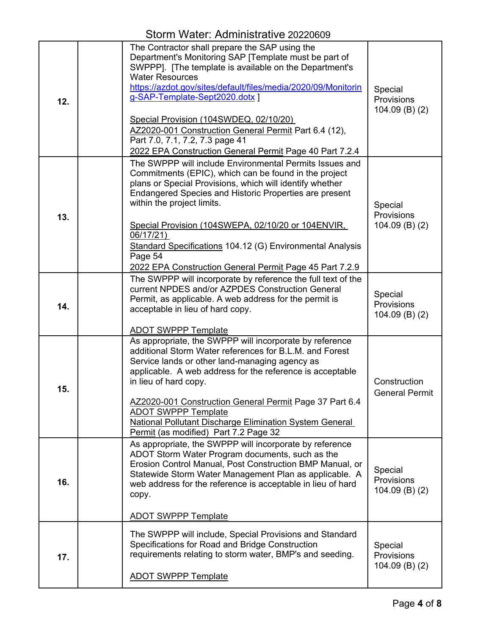| 12. | The Contractor shall prepare the SAP using the<br>Department's Monitoring SAP [Template must be part of<br>SWPPP]. [The template is available on the Department's<br><b>Water Resources</b><br>https://azdot.gov/sites/default/files/media/2020/09/Monitorin<br>g-SAP-Template-Sept2020.dotx ]<br>Special Provision (104SWDEQ, 02/10/20)<br>AZ2020-001 Construction General Permit Part 6.4 (12),<br>Part 7.0, 7.1, 7.2, 7.3 page 41<br>2022 EPA Construction General Permit Page 40 Part 7.2.4 | Special<br>Provisions<br>$104.09(B)$ (2)         |
|-----|-------------------------------------------------------------------------------------------------------------------------------------------------------------------------------------------------------------------------------------------------------------------------------------------------------------------------------------------------------------------------------------------------------------------------------------------------------------------------------------------------|--------------------------------------------------|
| 13. | The SWPPP will include Environmental Permits Issues and<br>Commitments (EPIC), which can be found in the project<br>plans or Special Provisions, which will identify whether<br>Endangered Species and Historic Properties are present<br>within the project limits.<br>Special Provision (104SWEPA, 02/10/20 or 104ENVIR,<br>06/17/21<br>Standard Specifications 104.12 (G) Environmental Analysis<br>Page 54<br>2022 EPA Construction General Permit Page 45 Part 7.2.9                       | Special<br>Provisions<br>$104.09(B)$ (2)         |
| 14. | The SWPPP will incorporate by reference the full text of the<br>current NPDES and/or AZPDES Construction General<br>Permit, as applicable. A web address for the permit is<br>acceptable in lieu of hard copy.<br><b>ADOT SWPPP Template</b>                                                                                                                                                                                                                                                    | Special<br>Provisions<br>$104.09$ (B) (2)        |
| 15. | As appropriate, the SWPPP will incorporate by reference<br>additional Storm Water references for B.L.M. and Forest<br>Service lands or other land-managing agency as<br>applicable. A web address for the reference is acceptable<br>in lieu of hard copy.<br>AZ2020-001 Construction General Permit Page 37 Part 6.4<br><b>ADOT SWPPP Template</b><br><b>National Pollutant Discharge Elimination System General</b><br>Permit (as modified) Part 7.2 Page 32                                  | Construction<br><b>General Permit</b>            |
| 16. | As appropriate, the SWPPP will incorporate by reference<br>ADOT Storm Water Program documents, such as the<br>Erosion Control Manual, Post Construction BMP Manual, or<br>Statewide Storm Water Management Plan as applicable. A<br>web address for the reference is acceptable in lieu of hard<br>copy.<br><b>ADOT SWPPP Template</b>                                                                                                                                                          | Special<br><b>Provisions</b><br>$104.09$ (B) (2) |
| 17. | The SWPPP will include, Special Provisions and Standard<br>Specifications for Road and Bridge Construction<br>requirements relating to storm water, BMP's and seeding.<br><b>ADOT SWPPP Template</b>                                                                                                                                                                                                                                                                                            | Special<br>Provisions<br>$104.09$ (B) (2)        |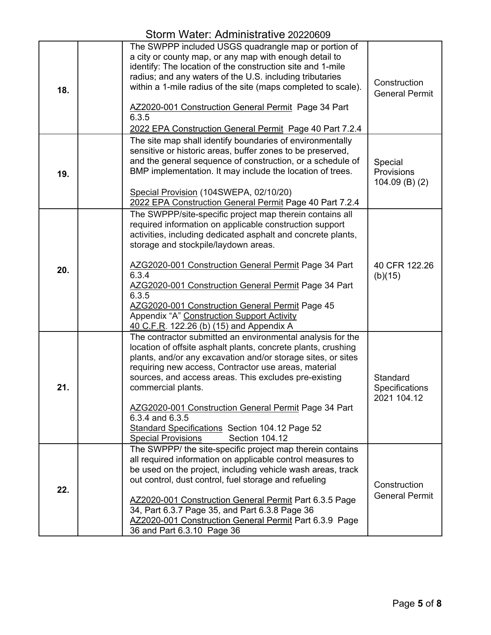|     | 91111 VVQLVI. 7 IQITIII 11961 QGVO ZUZZVVVJ                                                                                                                                                                                                                                                                                                                                                                                                                                                                           |                                                  |
|-----|-----------------------------------------------------------------------------------------------------------------------------------------------------------------------------------------------------------------------------------------------------------------------------------------------------------------------------------------------------------------------------------------------------------------------------------------------------------------------------------------------------------------------|--------------------------------------------------|
| 18. | The SWPPP included USGS quadrangle map or portion of<br>a city or county map, or any map with enough detail to<br>identify: The location of the construction site and 1-mile<br>radius; and any waters of the U.S. including tributaries<br>within a 1-mile radius of the site (maps completed to scale).<br>AZ2020-001 Construction General Permit Page 34 Part<br>6.3.5<br>2022 EPA Construction General Permit Page 40 Part 7.2.4                                                                                  | Construction<br><b>General Permit</b>            |
| 19. | The site map shall identify boundaries of environmentally<br>sensitive or historic areas, buffer zones to be preserved,<br>and the general sequence of construction, or a schedule of<br>BMP implementation. It may include the location of trees.<br>Special Provision (104SWEPA, 02/10/20)                                                                                                                                                                                                                          | Special<br><b>Provisions</b><br>$104.09$ (B) (2) |
|     | 2022 EPA Construction General Permit Page 40 Part 7.2.4                                                                                                                                                                                                                                                                                                                                                                                                                                                               |                                                  |
| 20. | The SWPPP/site-specific project map therein contains all<br>required information on applicable construction support<br>activities, including dedicated asphalt and concrete plants,<br>storage and stockpile/laydown areas.<br>AZG2020-001 Construction General Permit Page 34 Part<br>6.3.4<br>AZG2020-001 Construction General Permit Page 34 Part<br>6.3.5<br>AZG2020-001 Construction General Permit Page 45<br>Appendix "A" Construction Support Activity<br>40 C.F.R. 122.26 (b) (15) and Appendix A            | 40 CFR 122.26<br>(b)(15)                         |
| 21. | The contractor submitted an environmental analysis for the<br>location of offsite asphalt plants, concrete plants, crushing<br>plants, and/or any excavation and/or storage sites, or sites<br>requiring new access, Contractor use areas, material<br>sources, and access areas. This excludes pre-existing<br>commercial plants.<br>AZG2020-001 Construction General Permit Page 34 Part<br>6.3.4 and 6.3.5<br><b>Standard Specifications Section 104.12 Page 52</b><br><b>Special Provisions</b><br>Section 104.12 | Standard<br>Specifications<br>2021 104.12        |
| 22. | The SWPPP/ the site-specific project map therein contains<br>all required information on applicable control measures to<br>be used on the project, including vehicle wash areas, track<br>out control, dust control, fuel storage and refueling<br>AZ2020-001 Construction General Permit Part 6.3.5 Page<br>34, Part 6.3.7 Page 35, and Part 6.3.8 Page 36<br>AZ2020-001 Construction General Permit Part 6.3.9 Page<br>36 and Part 6.3.10 Page 36                                                                   | Construction<br><b>General Permit</b>            |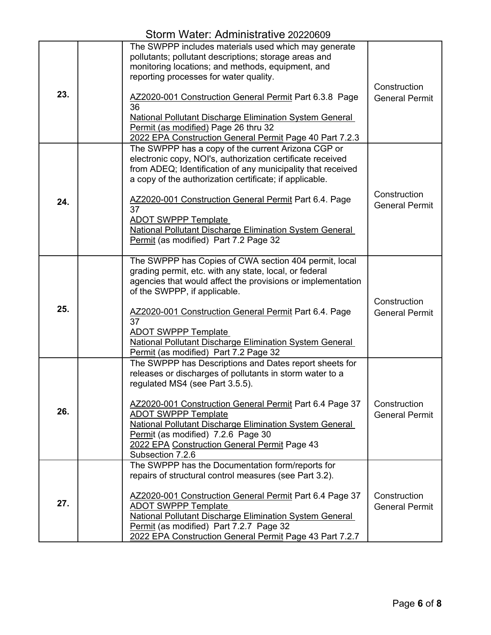Storm Water: Administrative 20220609

| 23. | The SWPPP includes materials used which may generate<br>pollutants; pollutant descriptions; storage areas and<br>monitoring locations; and methods, equipment, and<br>reporting processes for water quality.<br>AZ2020-001 Construction General Permit Part 6.3.8 Page<br>36<br><b>National Pollutant Discharge Elimination System General</b><br>Permit (as modified) Page 26 thru 32<br>2022 EPA Construction General Permit Page 40 Part 7.2.3  | Construction<br><b>General Permit</b> |
|-----|----------------------------------------------------------------------------------------------------------------------------------------------------------------------------------------------------------------------------------------------------------------------------------------------------------------------------------------------------------------------------------------------------------------------------------------------------|---------------------------------------|
| 24. | The SWPPP has a copy of the current Arizona CGP or<br>electronic copy, NOI's, authorization certificate received<br>from ADEQ; Identification of any municipality that received<br>a copy of the authorization certificate; if applicable.<br>AZ2020-001 Construction General Permit Part 6.4. Page<br>37<br><b>ADOT SWPPP Template</b><br><b>National Pollutant Discharge Elimination System General</b><br>Permit (as modified) Part 7.2 Page 32 | Construction<br><b>General Permit</b> |
| 25. | The SWPPP has Copies of CWA section 404 permit, local<br>grading permit, etc. with any state, local, or federal<br>agencies that would affect the provisions or implementation<br>of the SWPPP, if applicable.<br>AZ2020-001 Construction General Permit Part 6.4. Page<br>37<br><b>ADOT SWPPP Template</b><br><b>National Pollutant Discharge Elimination System General</b><br>Permit (as modified) Part 7.2 Page 32                             | Construction<br><b>General Permit</b> |
| 26. | The SWPPP has Descriptions and Dates report sheets for<br>releases or discharges of pollutants in storm water to a<br>regulated MS4 (see Part 3.5.5).<br>AZ2020-001 Construction General Permit Part 6.4 Page 37<br><b>ADOT SWPPP Template</b><br><b>National Pollutant Discharge Elimination System General</b><br>Permit (as modified) 7.2.6 Page 30<br>2022 EPA Construction General Permit Page 43<br>Subsection 7.2.6                         | Construction<br><b>General Permit</b> |
| 27. | The SWPPP has the Documentation form/reports for<br>repairs of structural control measures (see Part 3.2).<br>AZ2020-001 Construction General Permit Part 6.4 Page 37<br><b>ADOT SWPPP Template</b><br><b>National Pollutant Discharge Elimination System General</b><br>Permit (as modified) Part 7.2.7 Page 32<br>2022 EPA Construction General Permit Page 43 Part 7.2.7                                                                        | Construction<br><b>General Permit</b> |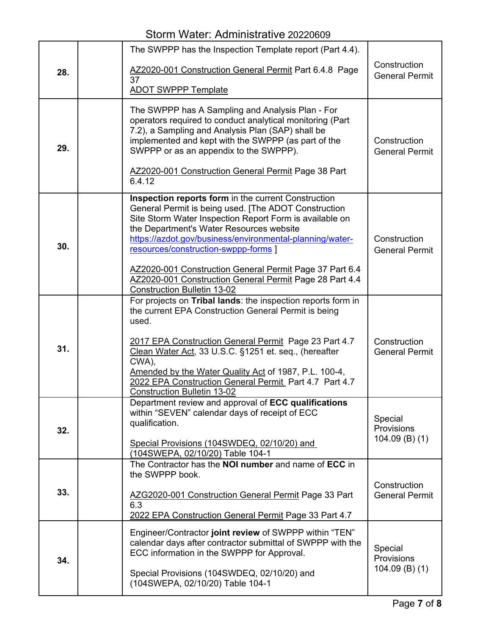|     | The SWPPP has the Inspection Template report (Part 4.4).                                                                                                                                                                                                                                                                                                                                                                                                                           |                                                  |
|-----|------------------------------------------------------------------------------------------------------------------------------------------------------------------------------------------------------------------------------------------------------------------------------------------------------------------------------------------------------------------------------------------------------------------------------------------------------------------------------------|--------------------------------------------------|
| 28. | AZ2020-001 Construction General Permit Part 6.4.8 Page                                                                                                                                                                                                                                                                                                                                                                                                                             | Construction<br><b>General Permit</b>            |
|     | 37<br><b>ADOT SWPPP Template</b>                                                                                                                                                                                                                                                                                                                                                                                                                                                   |                                                  |
| 29. | The SWPPP has A Sampling and Analysis Plan - For<br>operators required to conduct analytical monitoring (Part<br>7.2), a Sampling and Analysis Plan (SAP) shall be<br>implemented and kept with the SWPPP (as part of the<br>SWPPP or as an appendix to the SWPPP).<br>AZ2020-001 Construction General Permit Page 38 Part<br>6.4.12                                                                                                                                               | Construction<br><b>General Permit</b>            |
| 30. | Inspection reports form in the current Construction<br>General Permit is being used. [The ADOT Construction<br>Site Storm Water Inspection Report Form is available on<br>the Department's Water Resources website<br>https://azdot.gov/business/environmental-planning/water-<br>resources/construction-swppp-forms ]<br>AZ2020-001 Construction General Permit Page 37 Part 6.4<br>AZ2020-001 Construction General Permit Page 28 Part 4.4<br><b>Construction Bulletin 13-02</b> | Construction<br><b>General Permit</b>            |
| 31. | For projects on Tribal lands: the inspection reports form in<br>the current EPA Construction General Permit is being<br>used.<br>2017 EPA Construction General Permit Page 23 Part 4.7<br>Clean Water Act, 33 U.S.C. §1251 et. seq., (hereafter<br>CWA),<br>Amended by the Water Quality Act of 1987, P.L. 100-4,<br>2022 EPA Construction General Permit_Part 4.7 Part 4.7<br><b>Construction Bulletin 13-02</b>                                                                  | Construction<br><b>General Permit</b>            |
| 32. | Department review and approval of ECC qualifications<br>within "SEVEN" calendar days of receipt of ECC<br>qualification.<br>Special Provisions (104SWDEQ, 02/10/20) and<br>(104SWEPA, 02/10/20) Table 104-1                                                                                                                                                                                                                                                                        | Special<br><b>Provisions</b><br>$104.09$ (B) (1) |
| 33. | The Contractor has the NOI number and name of ECC in<br>the SWPPP book.<br>AZG2020-001 Construction General Permit Page 33 Part<br>6.3<br>2022 EPA Construction General Permit Page 33 Part 4.7                                                                                                                                                                                                                                                                                    | Construction<br><b>General Permit</b>            |
| 34. | Engineer/Contractor joint review of SWPPP within "TEN"<br>calendar days after contractor submittal of SWPPP with the<br>ECC information in the SWPPP for Approval.<br>Special Provisions (104SWDEQ, 02/10/20) and<br>(104SWEPA, 02/10/20) Table 104-1                                                                                                                                                                                                                              | Special<br>Provisions<br>$104.09$ (B) (1)        |